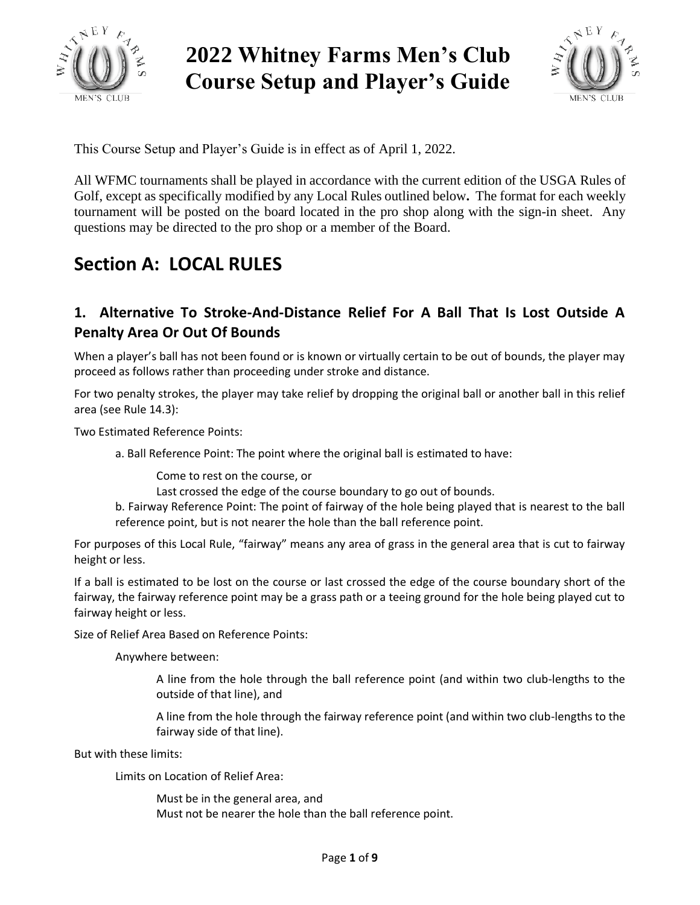

# **2022 Whitney Farms Men's Club Course Setup and Player's Guide**



This Course Setup and Player's Guide is in effect as of April 1, 2022.

All WFMC tournaments shall be played in accordance with the current edition of the USGA Rules of Golf, except as specifically modified by any Local Rules outlined below**.** The format for each weekly tournament will be posted on the board located in the pro shop along with the sign-in sheet. Any questions may be directed to the pro shop or a member of the Board.

## **Section A: LOCAL RULES**

### **1. Alternative To Stroke-And-Distance Relief For A Ball That Is Lost Outside A Penalty Area Or Out Of Bounds**

When a player's ball has not been found or is known or virtually certain to be out of bounds, the player may proceed as follows rather than proceeding under stroke and distance.

For two penalty strokes, the player may take relief by dropping the original ball or another ball in this relief area (see Rule 14.3):

Two Estimated Reference Points:

a. Ball Reference Point: The point where the original ball is estimated to have:

Come to rest on the course, or

Last crossed the edge of the course boundary to go out of bounds.

b. Fairway Reference Point: The point of fairway of the hole being played that is nearest to the ball reference point, but is not nearer the hole than the ball reference point.

For purposes of this Local Rule, "fairway" means any area of grass in the general area that is cut to fairway height or less.

If a ball is estimated to be lost on the course or last crossed the edge of the course boundary short of the fairway, the fairway reference point may be a grass path or a teeing ground for the hole being played cut to fairway height or less.

Size of Relief Area Based on Reference Points:

Anywhere between:

A line from the hole through the ball reference point (and within two club-lengths to the outside of that line), and

A line from the hole through the fairway reference point (and within two club-lengths to the fairway side of that line).

But with these limits:

Limits on Location of Relief Area:

Must be in the general area, and Must not be nearer the hole than the ball reference point.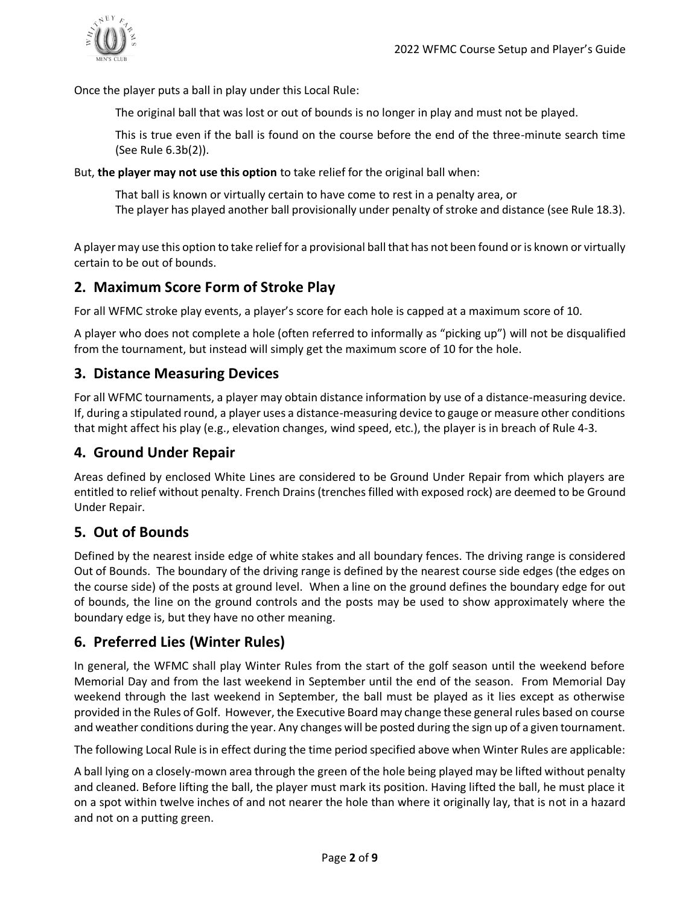

Once the player puts a ball in play under this Local Rule:

The original ball that was lost or out of bounds is no longer in play and must not be played.

This is true even if the ball is found on the course before the end of the three-minute search time (See Rule 6.3b(2)).

But, **the player may not use this option** to take relief for the original ball when:

That ball is known or virtually certain to have come to rest in a penalty area, or The player has played another ball provisionally under penalty of stroke and distance (see Rule 18.3).

A player may use this option to take relief for a provisional ball that has not been found or is known or virtually certain to be out of bounds.

#### **2. Maximum Score Form of Stroke Play**

For all WFMC stroke play events, a player's score for each hole is capped at a maximum score of 10.

A player who does not complete a hole (often referred to informally as "picking up") will not be disqualified from the tournament, but instead will simply get the maximum score of 10 for the hole.

#### **3. Distance Measuring Devices**

For all WFMC tournaments, a player may obtain distance information by use of a distance-measuring device. If, during a stipulated round, a player uses a distance-measuring device to gauge or measure other conditions that might affect his play (e.g., elevation changes, wind speed, etc.), the player is in breach of Rule 4-3.

#### **4. Ground Under Repair**

Areas defined by enclosed White Lines are considered to be Ground Under Repair from which players are entitled to relief without penalty. French Drains (trenches filled with exposed rock) are deemed to be Ground Under Repair.

#### **5. Out of Bounds**

Defined by the nearest inside edge of white stakes and all boundary fences. The driving range is considered Out of Bounds. The boundary of the driving range is defined by the nearest course side edges (the edges on the course side) of the posts at ground level. When a line on the ground defines the boundary edge for out of bounds, the line on the ground controls and the posts may be used to show approximately where the boundary edge is, but they have no other meaning.

#### **6. Preferred Lies (Winter Rules)**

In general, the WFMC shall play Winter Rules from the start of the golf season until the weekend before Memorial Day and from the last weekend in September until the end of the season. From Memorial Day weekend through the last weekend in September, the ball must be played as it lies except as otherwise provided in the Rules of Golf. However, the Executive Board may change these general rules based on course and weather conditions during the year. Any changes will be posted during the sign up of a given tournament.

The following Local Rule is in effect during the time period specified above when Winter Rules are applicable:

A ball lying on a closely-mown area through the green of the hole being played may be lifted without penalty and cleaned. Before lifting the ball, the player must mark its position. Having lifted the ball, he must place it on a spot within twelve inches of and not nearer the hole than where it originally lay, that is not in a hazard and not on a putting green.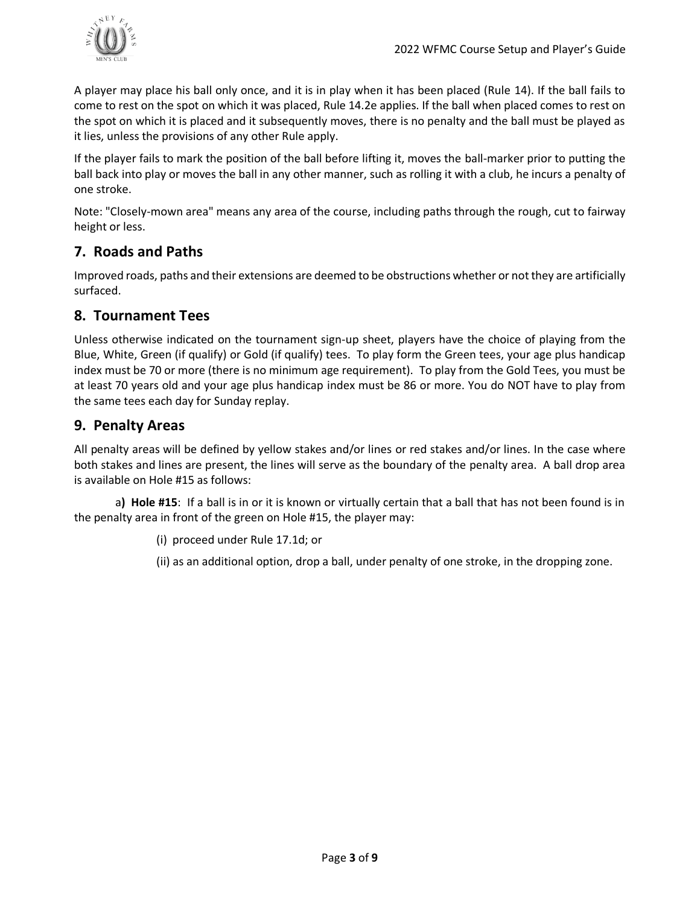

A player may place his ball only once, and it is in play when it has been placed (Rule 14). If the ball fails to come to rest on the spot on which it was placed, Rule 14.2e applies. If the ball when placed comes to rest on the spot on which it is placed and it subsequently moves, there is no penalty and the ball must be played as it lies, unless the provisions of any other Rule apply.

If the player fails to mark the position of the ball before lifting it, moves the ball-marker prior to putting the ball back into play or moves the ball in any other manner, such as rolling it with a club, he incurs a penalty of one stroke.

Note: "Closely-mown area" means any area of the course, including paths through the rough, cut to fairway height or less.

### **7. Roads and Paths**

Improved roads, paths and their extensions are deemed to be obstructions whether or not they are artificially surfaced.

#### **8. Tournament Tees**

Unless otherwise indicated on the tournament sign-up sheet, players have the choice of playing from the Blue, White, Green (if qualify) or Gold (if qualify) tees. To play form the Green tees, your age plus handicap index must be 70 or more (there is no minimum age requirement). To play from the Gold Tees, you must be at least 70 years old and your age plus handicap index must be 86 or more. You do NOT have to play from the same tees each day for Sunday replay.

#### **9. Penalty Areas**

All penalty areas will be defined by yellow stakes and/or lines or red stakes and/or lines. In the case where both stakes and lines are present, the lines will serve as the boundary of the penalty area. A ball drop area is available on Hole #15 as follows:

a**) Hole #15**: If a ball is in or it is known or virtually certain that a ball that has not been found is in the penalty area in front of the green on Hole #15, the player may:

(i) proceed under Rule 17.1d; or

(ii) as an additional option, drop a ball, under penalty of one stroke, in the dropping zone.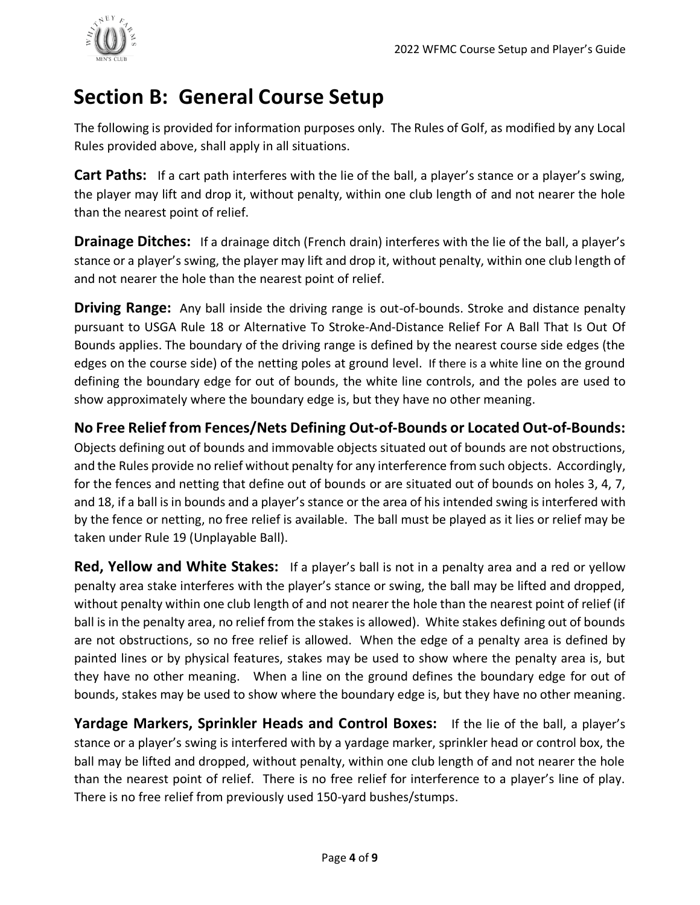

## **Section B: General Course Setup**

The following is provided for information purposes only. The Rules of Golf, as modified by any Local Rules provided above, shall apply in all situations.

**Cart Paths:** If a cart path interferes with the lie of the ball, a player's stance or a player's swing, the player may lift and drop it, without penalty, within one club length of and not nearer the hole than the nearest point of relief.

**Drainage Ditches:** If a drainage ditch (French drain) interferes with the lie of the ball, a player's stance or a player's swing, the player may lift and drop it, without penalty, within one club length of and not nearer the hole than the nearest point of relief.

**Driving Range:** Any ball inside the driving range is out-of-bounds. Stroke and distance penalty pursuant to USGA Rule 18 or Alternative To Stroke-And-Distance Relief For A Ball That Is Out Of Bounds applies. The boundary of the driving range is defined by the nearest course side edges (the edges on the course side) of the netting poles at ground level. If there is a white line on the ground defining the boundary edge for out of bounds, the white line controls, and the poles are used to show approximately where the boundary edge is, but they have no other meaning.

**No Free Relief from Fences/Nets Defining Out-of-Bounds or Located Out-of-Bounds:**

Objects defining out of bounds and immovable objects situated out of bounds are not obstructions, and the Rules provide no relief without penalty for any interference from such objects. Accordingly, for the fences and netting that define out of bounds or are situated out of bounds on holes 3, 4, 7, and 18, if a ball is in bounds and a player's stance or the area of his intended swing is interfered with by the fence or netting, no free relief is available. The ball must be played as it lies or relief may be taken under Rule 19 (Unplayable Ball).

**Red, Yellow and White Stakes:** If a player's ball is not in a penalty area and a red or yellow penalty area stake interferes with the player's stance or swing, the ball may be lifted and dropped, without penalty within one club length of and not nearer the hole than the nearest point of relief (if ball is in the penalty area, no relief from the stakes is allowed). White stakes defining out of bounds are not obstructions, so no free relief is allowed. When the edge of a penalty area is defined by painted lines or by physical features, stakes may be used to show where the penalty area is, but they have no other meaning. When a line on the ground defines the boundary edge for out of bounds, stakes may be used to show where the boundary edge is, but they have no other meaning.

**Yardage Markers, Sprinkler Heads and Control Boxes:** If the lie of the ball, a player's stance or a player's swing is interfered with by a yardage marker, sprinkler head or control box, the ball may be lifted and dropped, without penalty, within one club length of and not nearer the hole than the nearest point of relief. There is no free relief for interference to a player's line of play. There is no free relief from previously used 150-yard bushes/stumps.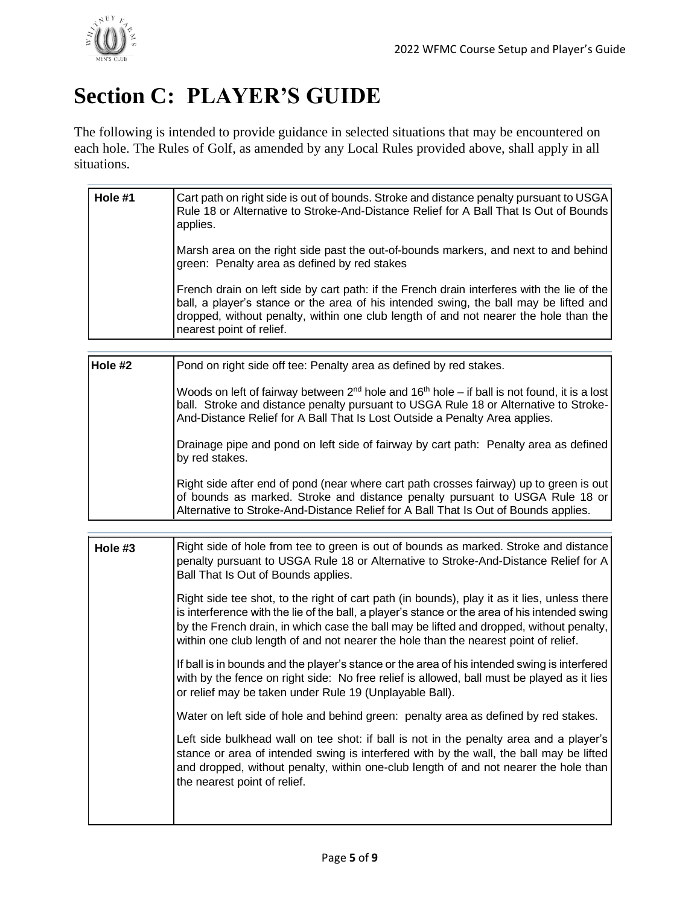# **Section C: PLAYER'S GUIDE**

The following is intended to provide guidance in selected situations that may be encountered on each hole. The Rules of Golf, as amended by any Local Rules provided above, shall apply in all situations.

| Hole #1 | Cart path on right side is out of bounds. Stroke and distance penalty pursuant to USGA<br>Rule 18 or Alternative to Stroke-And-Distance Relief for A Ball That Is Out of Bounds<br>applies.                                                                                                             |
|---------|---------------------------------------------------------------------------------------------------------------------------------------------------------------------------------------------------------------------------------------------------------------------------------------------------------|
|         | Marsh area on the right side past the out-of-bounds markers, and next to and behind<br>green: Penalty area as defined by red stakes                                                                                                                                                                     |
|         | French drain on left side by cart path: if the French drain interferes with the lie of the<br>ball, a player's stance or the area of his intended swing, the ball may be lifted and<br>dropped, without penalty, within one club length of and not nearer the hole than the<br>nearest point of relief. |

| Hole #2 | Pond on right side off tee: Penalty area as defined by red stakes.                                                                                                                                                                                                                   |
|---------|--------------------------------------------------------------------------------------------------------------------------------------------------------------------------------------------------------------------------------------------------------------------------------------|
|         | Woods on left of fairway between $2^{nd}$ hole and 16 <sup>th</sup> hole – if ball is not found, it is a lost<br>ball. Stroke and distance penalty pursuant to USGA Rule 18 or Alternative to Stroke-<br>And-Distance Relief for A Ball That Is Lost Outside a Penalty Area applies. |
|         | Drainage pipe and pond on left side of fairway by cart path: Penalty area as defined<br>by red stakes.                                                                                                                                                                               |
|         | Right side after end of pond (near where cart path crosses fairway) up to green is out<br>of bounds as marked. Stroke and distance penalty pursuant to USGA Rule 18 or<br>Alternative to Stroke-And-Distance Relief for A Ball That Is Out of Bounds applies.                        |

| Hole #3 | Right side of hole from tee to green is out of bounds as marked. Stroke and distance<br>penalty pursuant to USGA Rule 18 or Alternative to Stroke-And-Distance Relief for A<br>Ball That Is Out of Bounds applies.                                                                                                                                                              |
|---------|---------------------------------------------------------------------------------------------------------------------------------------------------------------------------------------------------------------------------------------------------------------------------------------------------------------------------------------------------------------------------------|
|         | Right side tee shot, to the right of cart path (in bounds), play it as it lies, unless there<br>is interference with the lie of the ball, a player's stance or the area of his intended swing<br>by the French drain, in which case the ball may be lifted and dropped, without penalty,<br>within one club length of and not nearer the hole than the nearest point of relief. |
|         | If ball is in bounds and the player's stance or the area of his intended swing is interfered<br>with by the fence on right side: No free relief is allowed, ball must be played as it lies<br>or relief may be taken under Rule 19 (Unplayable Ball).                                                                                                                           |
|         | Water on left side of hole and behind green: penalty area as defined by red stakes.                                                                                                                                                                                                                                                                                             |
|         | Left side bulkhead wall on tee shot: if ball is not in the penalty area and a player's<br>stance or area of intended swing is interfered with by the wall, the ball may be lifted<br>and dropped, without penalty, within one-club length of and not nearer the hole than<br>the nearest point of relief.                                                                       |
|         |                                                                                                                                                                                                                                                                                                                                                                                 |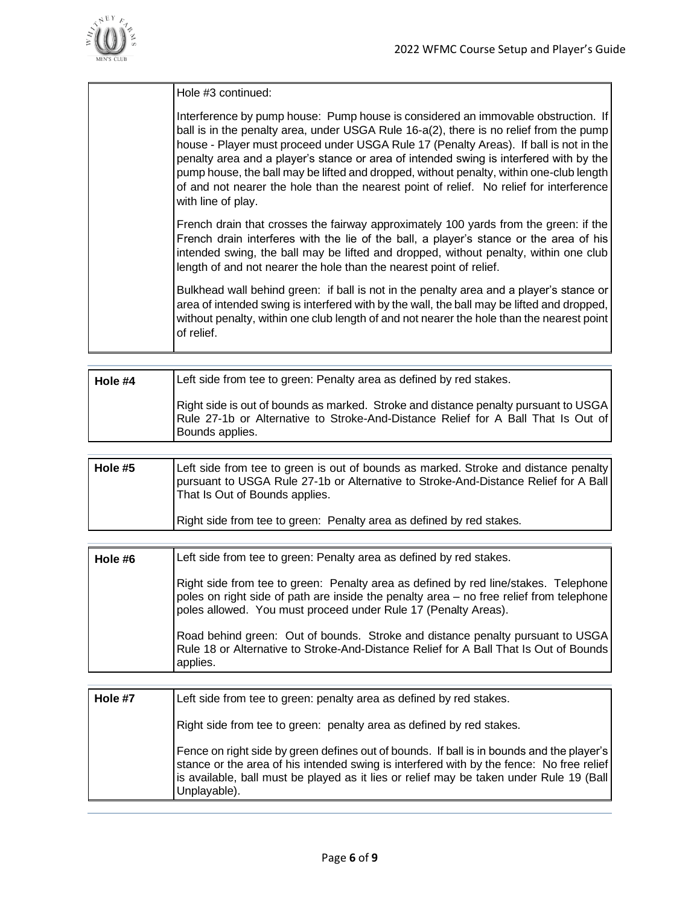

| Hole #3 continued:                                                                                                                                                                                                                                                                                                                                                                                                                                                                                                                                                         |
|----------------------------------------------------------------------------------------------------------------------------------------------------------------------------------------------------------------------------------------------------------------------------------------------------------------------------------------------------------------------------------------------------------------------------------------------------------------------------------------------------------------------------------------------------------------------------|
| Interference by pump house: Pump house is considered an immovable obstruction. If<br>ball is in the penalty area, under USGA Rule 16-a(2), there is no relief from the pump<br>house - Player must proceed under USGA Rule 17 (Penalty Areas). If ball is not in the<br>penalty area and a player's stance or area of intended swing is interfered with by the<br>pump house, the ball may be lifted and dropped, without penalty, within one-club length<br>of and not nearer the hole than the nearest point of relief. No relief for interference<br>with line of play. |
| French drain that crosses the fairway approximately 100 yards from the green: if the<br>French drain interferes with the lie of the ball, a player's stance or the area of his<br>intended swing, the ball may be lifted and dropped, without penalty, within one club<br>length of and not nearer the hole than the nearest point of relief.                                                                                                                                                                                                                              |
| Bulkhead wall behind green: if ball is not in the penalty area and a player's stance or<br>area of intended swing is interfered with by the wall, the ball may be lifted and dropped,<br>without penalty, within one club length of and not nearer the hole than the nearest point<br>of relief.                                                                                                                                                                                                                                                                           |

| Hole #4 | Left side from tee to green: Penalty area as defined by red stakes.                                                                                                                         |
|---------|---------------------------------------------------------------------------------------------------------------------------------------------------------------------------------------------|
|         | Right side is out of bounds as marked. Stroke and distance penalty pursuant to USGA<br>Rule 27-1b or Alternative to Stroke-And-Distance Relief for A Ball That Is Out of<br>Bounds applies. |

| Hole #5 | Left side from tee to green is out of bounds as marked. Stroke and distance penalty<br>pursuant to USGA Rule 27-1b or Alternative to Stroke-And-Distance Relief for A Ball<br>That Is Out of Bounds applies. |
|---------|--------------------------------------------------------------------------------------------------------------------------------------------------------------------------------------------------------------|
|         | Right side from tee to green: Penalty area as defined by red stakes.                                                                                                                                         |

| Hole #6 | Left side from tee to green: Penalty area as defined by red stakes.                                                                                                                                                                              |
|---------|--------------------------------------------------------------------------------------------------------------------------------------------------------------------------------------------------------------------------------------------------|
|         | Right side from tee to green: Penalty area as defined by red line/stakes. Telephone<br>poles on right side of path are inside the penalty area - no free relief from telephone<br>poles allowed. You must proceed under Rule 17 (Penalty Areas). |
|         | Road behind green: Out of bounds. Stroke and distance penalty pursuant to USGA<br>Rule 18 or Alternative to Stroke-And-Distance Relief for A Ball That Is Out of Bounds<br>applies.                                                              |

| Hole #7 | Left side from tee to green: penalty area as defined by red stakes.                                                                                                                                                                                                                              |
|---------|--------------------------------------------------------------------------------------------------------------------------------------------------------------------------------------------------------------------------------------------------------------------------------------------------|
|         | Right side from tee to green: penalty area as defined by red stakes.                                                                                                                                                                                                                             |
|         | Fence on right side by green defines out of bounds. If ball is in bounds and the player's<br>stance or the area of his intended swing is interfered with by the fence: No free relief<br>is available, ball must be played as it lies or relief may be taken under Rule 19 (Ball<br>Unplayable). |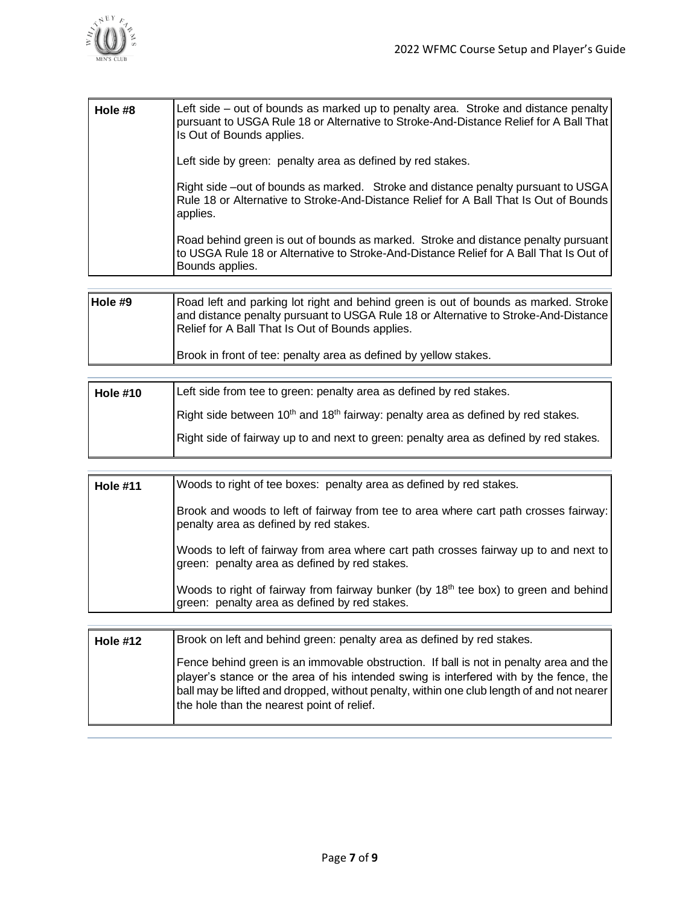

| Hole #8 | Left side – out of bounds as marked up to penalty area. Stroke and distance penalty<br>pursuant to USGA Rule 18 or Alternative to Stroke-And-Distance Relief for A Ball That<br>Is Out of Bounds applies. |
|---------|-----------------------------------------------------------------------------------------------------------------------------------------------------------------------------------------------------------|
|         | Left side by green: penalty area as defined by red stakes.                                                                                                                                                |
|         | Right side –out of bounds as marked. Stroke and distance penalty pursuant to USGA<br>Rule 18 or Alternative to Stroke-And-Distance Relief for A Ball That Is Out of Bounds<br>applies.                    |
|         | Road behind green is out of bounds as marked. Stroke and distance penalty pursuant<br>to USGA Rule 18 or Alternative to Stroke-And-Distance Relief for A Ball That Is Out of<br>Bounds applies.           |
|         |                                                                                                                                                                                                           |

| Hole #9 | Road left and parking lot right and behind green is out of bounds as marked. Stroke<br>and distance penalty pursuant to USGA Rule 18 or Alternative to Stroke-And-Distance<br>Relief for A Ball That Is Out of Bounds applies. |
|---------|--------------------------------------------------------------------------------------------------------------------------------------------------------------------------------------------------------------------------------|
|         | Brook in front of tee: penalty area as defined by yellow stakes.                                                                                                                                                               |

| <b>Hole #10</b> | Left side from tee to green: penalty area as defined by red stakes.                                      |
|-----------------|----------------------------------------------------------------------------------------------------------|
|                 | Right side between 10 <sup>th</sup> and 18 <sup>th</sup> fairway: penalty area as defined by red stakes. |
|                 | Right side of fairway up to and next to green: penalty area as defined by red stakes.                    |

| <b>Hole #11</b> | Woods to right of tee boxes: penalty area as defined by red stakes.                                                                              |
|-----------------|--------------------------------------------------------------------------------------------------------------------------------------------------|
|                 | Brook and woods to left of fairway from tee to area where cart path crosses fairway:<br>penalty area as defined by red stakes.                   |
|                 | Woods to left of fairway from area where cart path crosses fairway up to and next to<br>green: penalty area as defined by red stakes.            |
|                 | Woods to right of fairway from fairway bunker (by 18 <sup>th</sup> tee box) to green and behind<br>green: penalty area as defined by red stakes. |

| <b>Hole #12</b> | Brook on left and behind green: penalty area as defined by red stakes.                                                                                                                                                                                                                                                         |
|-----------------|--------------------------------------------------------------------------------------------------------------------------------------------------------------------------------------------------------------------------------------------------------------------------------------------------------------------------------|
|                 | [Fence behind green is an immovable obstruction. If ball is not in penalty area and the<br>player's stance or the area of his intended swing is interfered with by the fence, the<br>  ball may be lifted and dropped, without penalty, within one club length of and not nearer<br>the hole than the nearest point of relief. |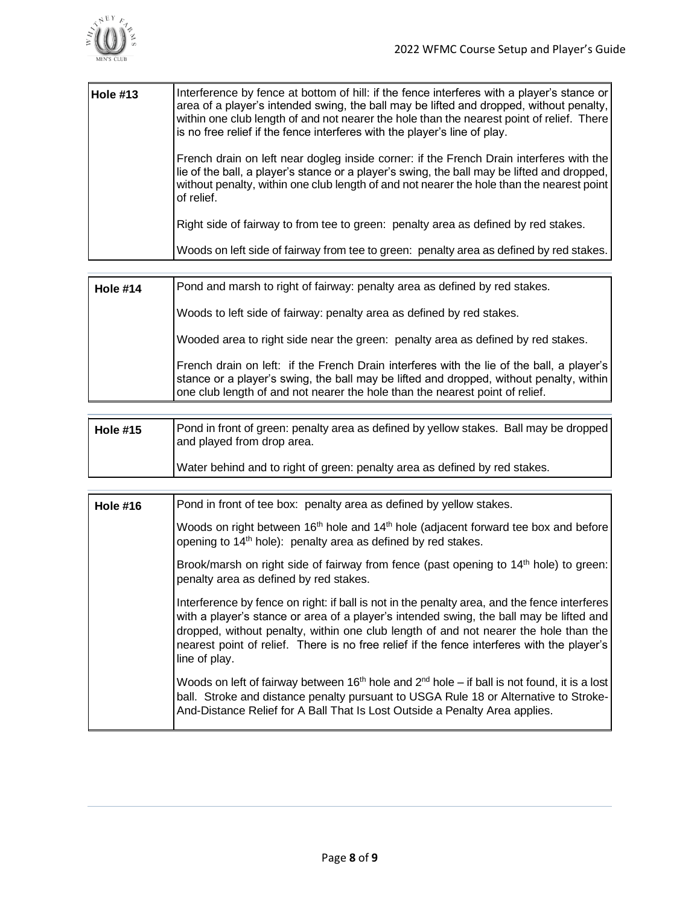

| Hole #13 | Interference by fence at bottom of hill: if the fence interferes with a player's stance or<br>area of a player's intended swing, the ball may be lifted and dropped, without penalty,<br>within one club length of and not nearer the hole than the nearest point of relief. There<br>is no free relief if the fence interferes with the player's line of play. |
|----------|-----------------------------------------------------------------------------------------------------------------------------------------------------------------------------------------------------------------------------------------------------------------------------------------------------------------------------------------------------------------|
|          | French drain on left near dogleg inside corner: if the French Drain interferes with the<br>lie of the ball, a player's stance or a player's swing, the ball may be lifted and dropped,<br>without penalty, within one club length of and not nearer the hole than the nearest point<br>of relief.                                                               |
|          | Right side of fairway to from tee to green: penalty area as defined by red stakes.                                                                                                                                                                                                                                                                              |
|          | Woods on left side of fairway from tee to green: penalty area as defined by red stakes.                                                                                                                                                                                                                                                                         |

| <b>Hole #14</b> | Pond and marsh to right of fairway: penalty area as defined by red stakes.                                                                                                                                                                                           |
|-----------------|----------------------------------------------------------------------------------------------------------------------------------------------------------------------------------------------------------------------------------------------------------------------|
|                 | Woods to left side of fairway: penalty area as defined by red stakes.                                                                                                                                                                                                |
|                 | Wooded area to right side near the green: penalty area as defined by red stakes.                                                                                                                                                                                     |
|                 | French drain on left: if the French Drain interferes with the lie of the ball, a player's<br>stance or a player's swing, the ball may be lifted and dropped, without penalty, within<br>one club length of and not nearer the hole than the nearest point of relief. |

| <b>Hole #15</b> | Pond in front of green: penalty area as defined by yellow stakes. Ball may be dropped<br>and played from drop area. |
|-----------------|---------------------------------------------------------------------------------------------------------------------|
|                 | Water behind and to right of green: penalty area as defined by red stakes.                                          |

| <b>Hole #16</b> | Pond in front of tee box: penalty area as defined by yellow stakes.                                                                                                                                                                                                                                                                                                                            |
|-----------------|------------------------------------------------------------------------------------------------------------------------------------------------------------------------------------------------------------------------------------------------------------------------------------------------------------------------------------------------------------------------------------------------|
|                 | Woods on right between 16 <sup>th</sup> hole and 14 <sup>th</sup> hole (adjacent forward tee box and before<br>opening to 14 <sup>th</sup> hole): penalty area as defined by red stakes.                                                                                                                                                                                                       |
|                 | Brook/marsh on right side of fairway from fence (past opening to 14 <sup>th</sup> hole) to green:<br>penalty area as defined by red stakes.                                                                                                                                                                                                                                                    |
|                 | Interference by fence on right: if ball is not in the penalty area, and the fence interferes<br>with a player's stance or area of a player's intended swing, the ball may be lifted and<br>dropped, without penalty, within one club length of and not nearer the hole than the<br>nearest point of relief. There is no free relief if the fence interferes with the player's<br>line of play. |
|                 | Woods on left of fairway between 16 <sup>th</sup> hole and $2^{nd}$ hole – if ball is not found, it is a lost<br>ball. Stroke and distance penalty pursuant to USGA Rule 18 or Alternative to Stroke-<br>And-Distance Relief for A Ball That Is Lost Outside a Penalty Area applies.                                                                                                           |